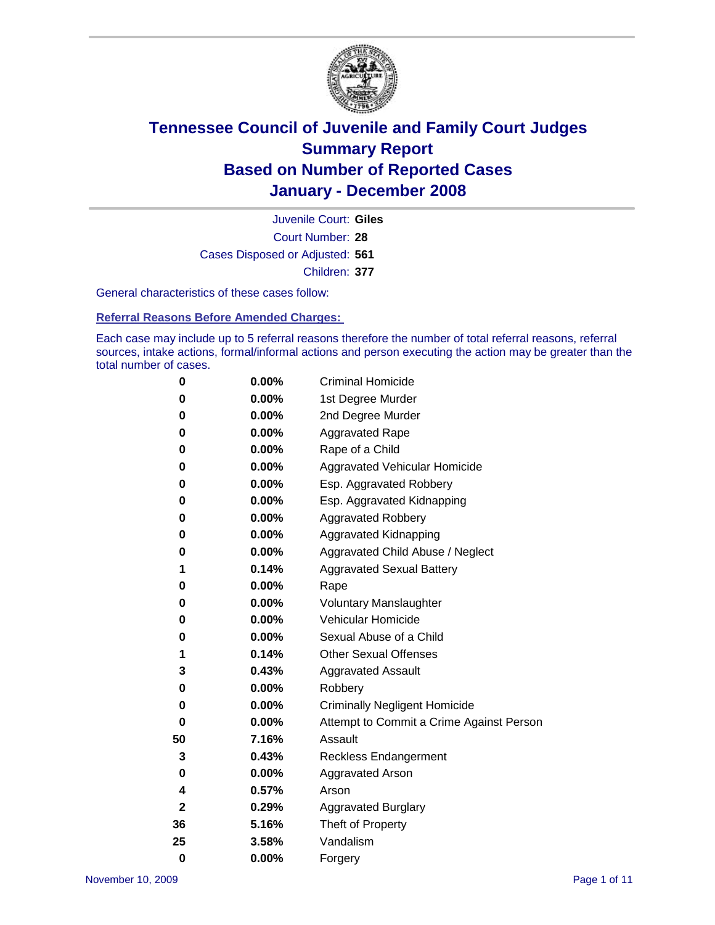

Court Number: **28** Juvenile Court: **Giles** Cases Disposed or Adjusted: **561** Children: **377**

General characteristics of these cases follow:

**Referral Reasons Before Amended Charges:** 

Each case may include up to 5 referral reasons therefore the number of total referral reasons, referral sources, intake actions, formal/informal actions and person executing the action may be greater than the total number of cases.

| 0  | $0.00\%$ | <b>Criminal Homicide</b>                 |  |  |
|----|----------|------------------------------------------|--|--|
| 0  | 0.00%    | 1st Degree Murder                        |  |  |
| 0  | $0.00\%$ | 2nd Degree Murder                        |  |  |
| 0  | 0.00%    | <b>Aggravated Rape</b>                   |  |  |
| 0  | 0.00%    | Rape of a Child                          |  |  |
| 0  | $0.00\%$ | Aggravated Vehicular Homicide            |  |  |
| 0  | 0.00%    | Esp. Aggravated Robbery                  |  |  |
| 0  | $0.00\%$ | Esp. Aggravated Kidnapping               |  |  |
| 0  | 0.00%    | <b>Aggravated Robbery</b>                |  |  |
| 0  | 0.00%    | Aggravated Kidnapping                    |  |  |
| 0  | 0.00%    | Aggravated Child Abuse / Neglect         |  |  |
| 1  | 0.14%    | <b>Aggravated Sexual Battery</b>         |  |  |
| 0  | 0.00%    | Rape                                     |  |  |
| 0  | 0.00%    | <b>Voluntary Manslaughter</b>            |  |  |
| 0  | 0.00%    | Vehicular Homicide                       |  |  |
| 0  | $0.00\%$ | Sexual Abuse of a Child                  |  |  |
| 1  | 0.14%    | <b>Other Sexual Offenses</b>             |  |  |
| 3  | 0.43%    | <b>Aggravated Assault</b>                |  |  |
| 0  | 0.00%    | Robbery                                  |  |  |
| 0  | 0.00%    | <b>Criminally Negligent Homicide</b>     |  |  |
| 0  | 0.00%    | Attempt to Commit a Crime Against Person |  |  |
| 50 | 7.16%    | Assault                                  |  |  |
| 3  | 0.43%    | <b>Reckless Endangerment</b>             |  |  |
| 0  | 0.00%    | <b>Aggravated Arson</b>                  |  |  |
| 4  | 0.57%    | Arson                                    |  |  |
| 2  | 0.29%    | <b>Aggravated Burglary</b>               |  |  |
| 36 | 5.16%    | Theft of Property                        |  |  |
| 25 | 3.58%    | Vandalism                                |  |  |
| 0  | 0.00%    | Forgery                                  |  |  |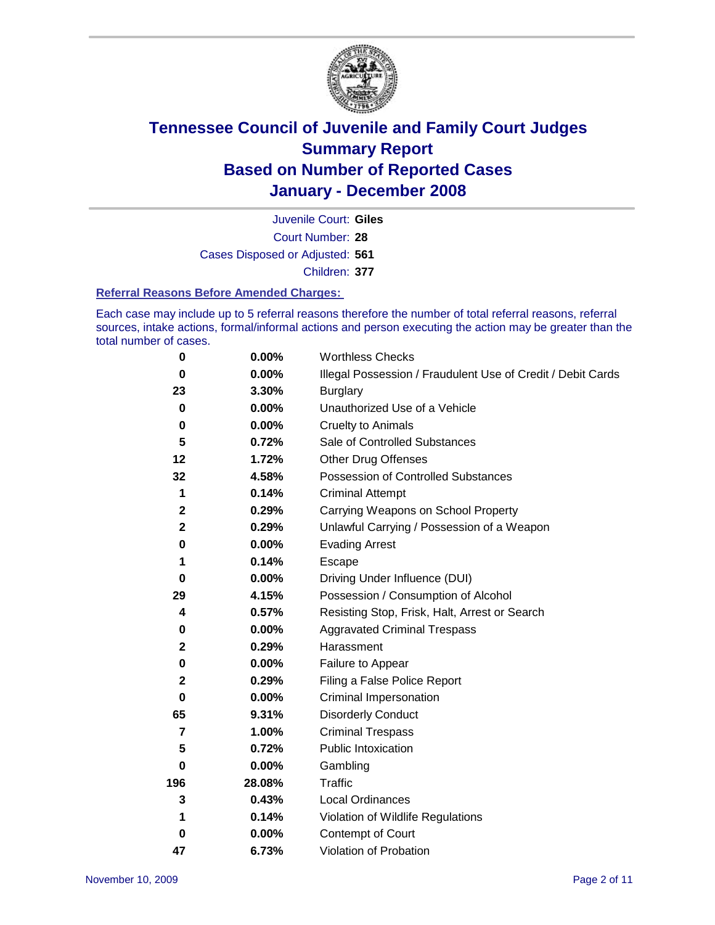

Court Number: **28** Juvenile Court: **Giles** Cases Disposed or Adjusted: **561** Children: **377**

#### **Referral Reasons Before Amended Charges:**

Each case may include up to 5 referral reasons therefore the number of total referral reasons, referral sources, intake actions, formal/informal actions and person executing the action may be greater than the total number of cases.

| 0              | 0.00%    | <b>Worthless Checks</b>                                     |
|----------------|----------|-------------------------------------------------------------|
| $\bf{0}$       | 0.00%    | Illegal Possession / Fraudulent Use of Credit / Debit Cards |
| 23             | 3.30%    | <b>Burglary</b>                                             |
| 0              | $0.00\%$ | Unauthorized Use of a Vehicle                               |
| $\pmb{0}$      | 0.00%    | <b>Cruelty to Animals</b>                                   |
| 5              | 0.72%    | Sale of Controlled Substances                               |
| 12             | 1.72%    | <b>Other Drug Offenses</b>                                  |
| 32             | 4.58%    | <b>Possession of Controlled Substances</b>                  |
| 1              | 0.14%    | <b>Criminal Attempt</b>                                     |
| $\mathbf 2$    | 0.29%    | Carrying Weapons on School Property                         |
| $\mathbf 2$    | 0.29%    | Unlawful Carrying / Possession of a Weapon                  |
| 0              | 0.00%    | <b>Evading Arrest</b>                                       |
| 1              | 0.14%    | Escape                                                      |
| 0              | 0.00%    | Driving Under Influence (DUI)                               |
| 29             | 4.15%    | Possession / Consumption of Alcohol                         |
| 4              | 0.57%    | Resisting Stop, Frisk, Halt, Arrest or Search               |
| 0              | 0.00%    | <b>Aggravated Criminal Trespass</b>                         |
| 2              | 0.29%    | Harassment                                                  |
| $\bf{0}$       | 0.00%    | Failure to Appear                                           |
| $\mathbf 2$    | 0.29%    | Filing a False Police Report                                |
| $\bf{0}$       | 0.00%    | Criminal Impersonation                                      |
| 65             | 9.31%    | <b>Disorderly Conduct</b>                                   |
| $\overline{7}$ | 1.00%    | <b>Criminal Trespass</b>                                    |
| 5              | 0.72%    | <b>Public Intoxication</b>                                  |
| 0              | 0.00%    | Gambling                                                    |
| 196            | 28.08%   | Traffic                                                     |
| 3              | 0.43%    | Local Ordinances                                            |
| 1              | 0.14%    | Violation of Wildlife Regulations                           |
| 0              | 0.00%    | Contempt of Court                                           |
| 47             | 6.73%    | Violation of Probation                                      |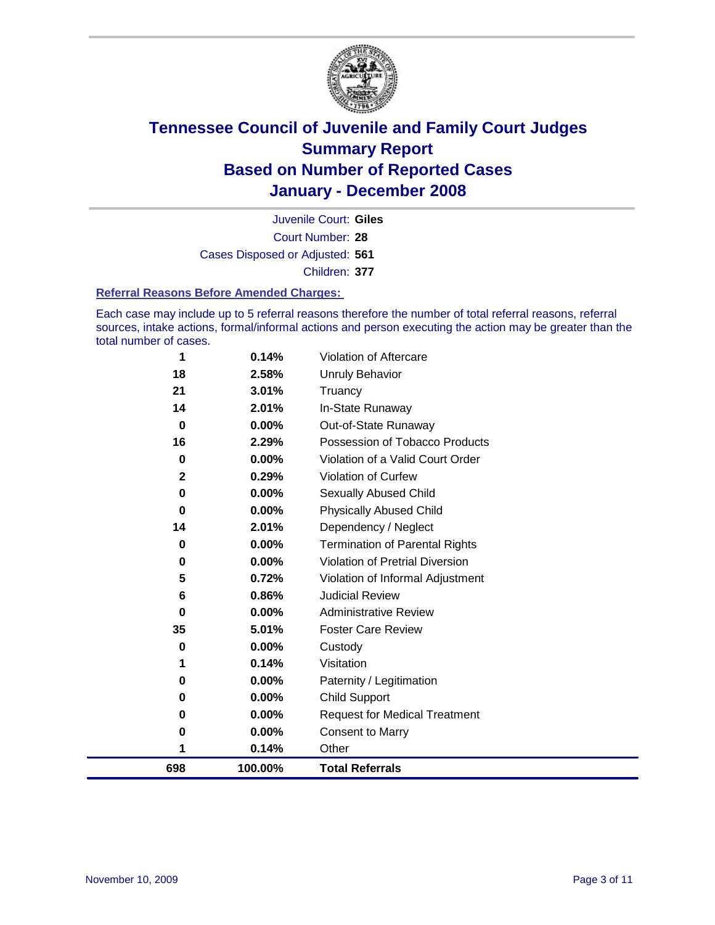

Court Number: **28** Juvenile Court: **Giles** Cases Disposed or Adjusted: **561** Children: **377**

#### **Referral Reasons Before Amended Charges:**

Each case may include up to 5 referral reasons therefore the number of total referral reasons, referral sources, intake actions, formal/informal actions and person executing the action may be greater than the total number of cases.

| 698         | 100.00%  | <b>Total Referrals</b>                 |
|-------------|----------|----------------------------------------|
| 1           | 0.14%    | Other                                  |
| 0           | 0.00%    | <b>Consent to Marry</b>                |
| 0           | 0.00%    | <b>Request for Medical Treatment</b>   |
| 0           | 0.00%    | Child Support                          |
| 0           | 0.00%    | Paternity / Legitimation               |
| 1           | 0.14%    | Visitation                             |
| 0           | 0.00%    | Custody                                |
| 35          | 5.01%    | <b>Foster Care Review</b>              |
| 0           | $0.00\%$ | <b>Administrative Review</b>           |
| 6           | 0.86%    | <b>Judicial Review</b>                 |
| 5           | 0.72%    | Violation of Informal Adjustment       |
| 0           | $0.00\%$ | <b>Violation of Pretrial Diversion</b> |
| 0           | 0.00%    | <b>Termination of Parental Rights</b>  |
| 14          | 2.01%    | Dependency / Neglect                   |
| 0           | $0.00\%$ | <b>Physically Abused Child</b>         |
| 0           | $0.00\%$ | Sexually Abused Child                  |
| $\mathbf 2$ | 0.29%    | Violation of Curfew                    |
| 0           | $0.00\%$ | Violation of a Valid Court Order       |
| 16          | 2.29%    | Possession of Tobacco Products         |
| $\bf{0}$    | 0.00%    | Out-of-State Runaway                   |
| 14          | 2.01%    | In-State Runaway                       |
| 21          | 3.01%    | Truancy                                |
| 18          | 2.58%    | Unruly Behavior                        |
| 1           | 0.14%    | Violation of Aftercare                 |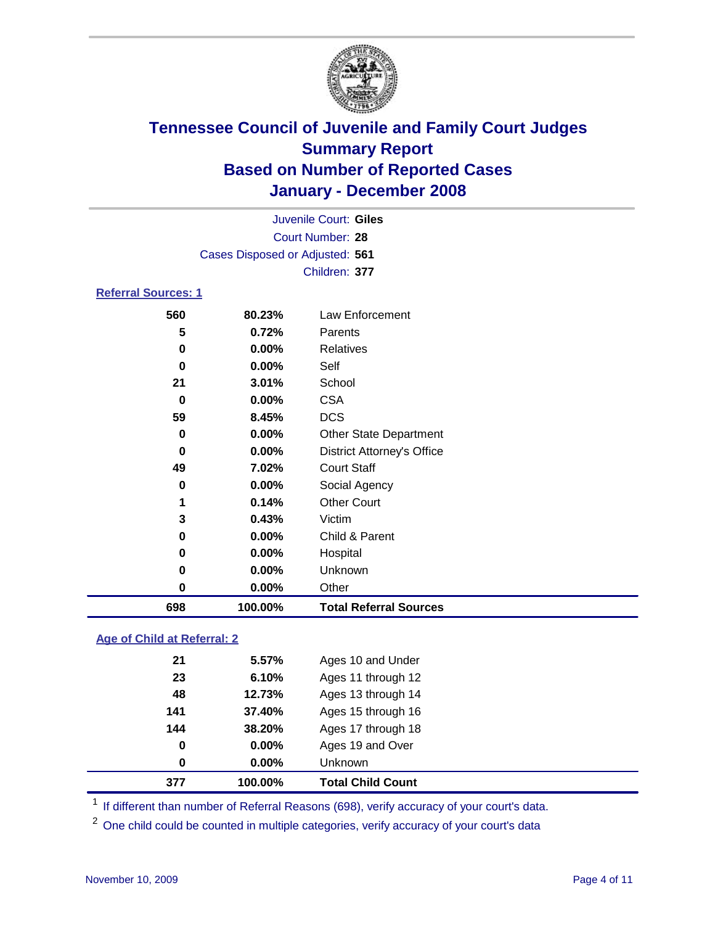

| Juvenile Court: Giles           |  |
|---------------------------------|--|
| Court Number: 28                |  |
| Cases Disposed or Adjusted: 561 |  |
| Children: 377                   |  |
| <b>Referral Sources: 1</b>      |  |
|                                 |  |

### **80.23%** Law Enforcement **0.72%** Parents **0.00%** Relatives **0.00%** Self **3.01%** School **0.00%** CSA **8.45%** DCS **0.00%** Other State Department **0.00%** District Attorney's Office **7.02%** Court Staff **0.00%** Social Agency **0.14%** Other Court **0.43%** Victim **0.00%** Child & Parent **0.00%** Hospital **0.00%** Unknown **0.00%** Other **100.00% Total Referral Sources**

#### **Age of Child at Referral: 2**

|     |        | Unknown            |  |
|-----|--------|--------------------|--|
| 0   | 0.00%  | Ages 19 and Over   |  |
| 144 | 38.20% | Ages 17 through 18 |  |
| 141 | 37.40% | Ages 15 through 16 |  |
| 48  | 12.73% | Ages 13 through 14 |  |
| 23  | 6.10%  | Ages 11 through 12 |  |
| 21  | 5.57%  | Ages 10 and Under  |  |
|     |        | $0.00\%$<br>0      |  |

<sup>1</sup> If different than number of Referral Reasons (698), verify accuracy of your court's data.

<sup>2</sup> One child could be counted in multiple categories, verify accuracy of your court's data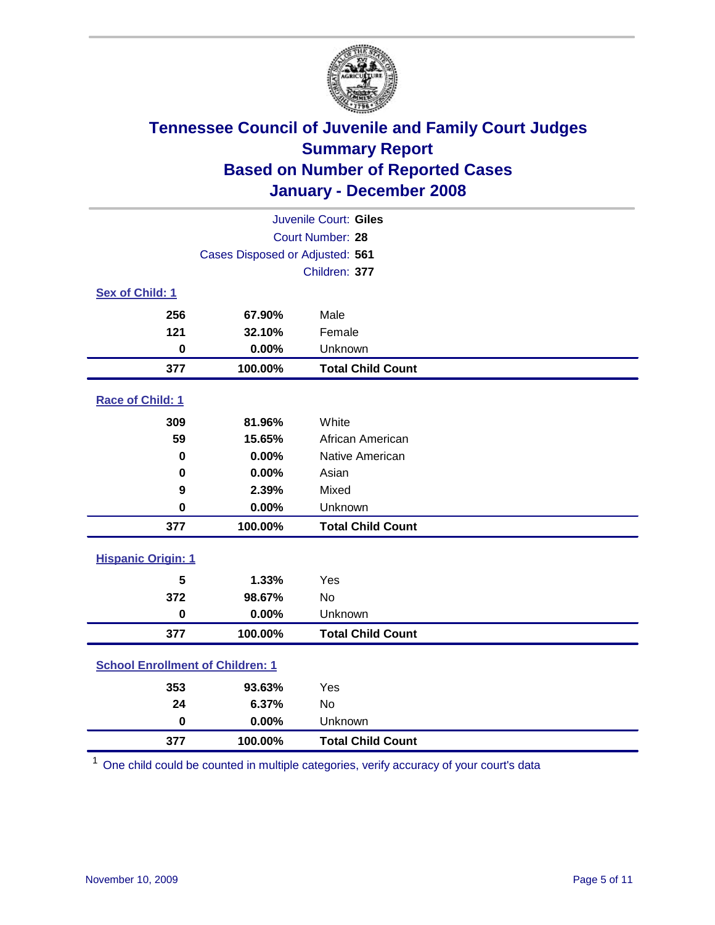

| Juvenile Court: Giles                   |                                 |                          |  |  |
|-----------------------------------------|---------------------------------|--------------------------|--|--|
| Court Number: 28                        |                                 |                          |  |  |
|                                         | Cases Disposed or Adjusted: 561 |                          |  |  |
|                                         |                                 | Children: 377            |  |  |
| Sex of Child: 1                         |                                 |                          |  |  |
| 256                                     | 67.90%                          | Male                     |  |  |
| 121                                     | 32.10%                          | Female                   |  |  |
| $\bf{0}$                                | 0.00%                           | Unknown                  |  |  |
| 377                                     | 100.00%                         | <b>Total Child Count</b> |  |  |
| Race of Child: 1                        |                                 |                          |  |  |
| 309                                     | 81.96%                          | White                    |  |  |
| 59                                      | 15.65%                          | African American         |  |  |
| 0                                       | 0.00%                           | Native American          |  |  |
| 0                                       | 0.00%                           | Asian                    |  |  |
| 9                                       | 2.39%                           | Mixed                    |  |  |
| $\bf{0}$                                | 0.00%                           | Unknown                  |  |  |
| 377                                     | 100.00%                         | <b>Total Child Count</b> |  |  |
| <b>Hispanic Origin: 1</b>               |                                 |                          |  |  |
| 5                                       | 1.33%                           | Yes                      |  |  |
| 372                                     | 98.67%                          | <b>No</b>                |  |  |
| $\mathbf 0$                             | 0.00%                           | Unknown                  |  |  |
| 377                                     | 100.00%                         | <b>Total Child Count</b> |  |  |
| <b>School Enrollment of Children: 1</b> |                                 |                          |  |  |
| 353                                     | 93.63%                          | Yes                      |  |  |
| 24                                      | 6.37%                           | <b>No</b>                |  |  |
| $\bf{0}$                                | 0.00%                           | Unknown                  |  |  |
| 377                                     | 100.00%                         | <b>Total Child Count</b> |  |  |

One child could be counted in multiple categories, verify accuracy of your court's data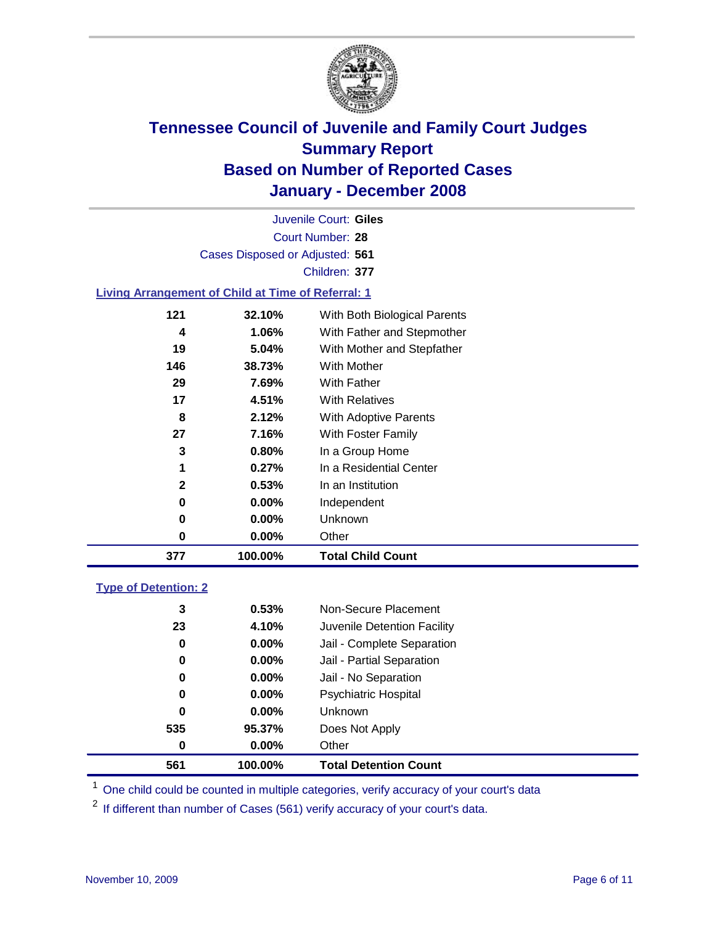

Court Number: **28** Juvenile Court: **Giles** Cases Disposed or Adjusted: **561** Children: **377**

#### **Living Arrangement of Child at Time of Referral: 1**

| 377          | 100.00%  | <b>Total Child Count</b>     |
|--------------|----------|------------------------------|
| 0            | $0.00\%$ | Other                        |
| 0            | $0.00\%$ | Unknown                      |
| 0            | $0.00\%$ | Independent                  |
| $\mathbf{2}$ | 0.53%    | In an Institution            |
| 1            | 0.27%    | In a Residential Center      |
| 3            | 0.80%    | In a Group Home              |
| 27           | 7.16%    | With Foster Family           |
| 8            | 2.12%    | <b>With Adoptive Parents</b> |
| 17           | 4.51%    | <b>With Relatives</b>        |
| 29           | 7.69%    | <b>With Father</b>           |
| 146          | 38.73%   | With Mother                  |
| 19           | 5.04%    | With Mother and Stepfather   |
| 4            | 1.06%    | With Father and Stepmother   |
| 121          | 32.10%   | With Both Biological Parents |

#### **Type of Detention: 2**

| 561 | 100.00%  | <b>Total Detention Count</b> |  |
|-----|----------|------------------------------|--|
| 0   | 0.00%    | Other                        |  |
| 535 | 95.37%   | Does Not Apply               |  |
| 0   | $0.00\%$ | <b>Unknown</b>               |  |
| 0   | 0.00%    | <b>Psychiatric Hospital</b>  |  |
| 0   | 0.00%    | Jail - No Separation         |  |
| 0   | $0.00\%$ | Jail - Partial Separation    |  |
| 0   | $0.00\%$ | Jail - Complete Separation   |  |
| 23  | 4.10%    | Juvenile Detention Facility  |  |
| 3   | 0.53%    | Non-Secure Placement         |  |
|     |          |                              |  |

<sup>1</sup> One child could be counted in multiple categories, verify accuracy of your court's data

<sup>2</sup> If different than number of Cases (561) verify accuracy of your court's data.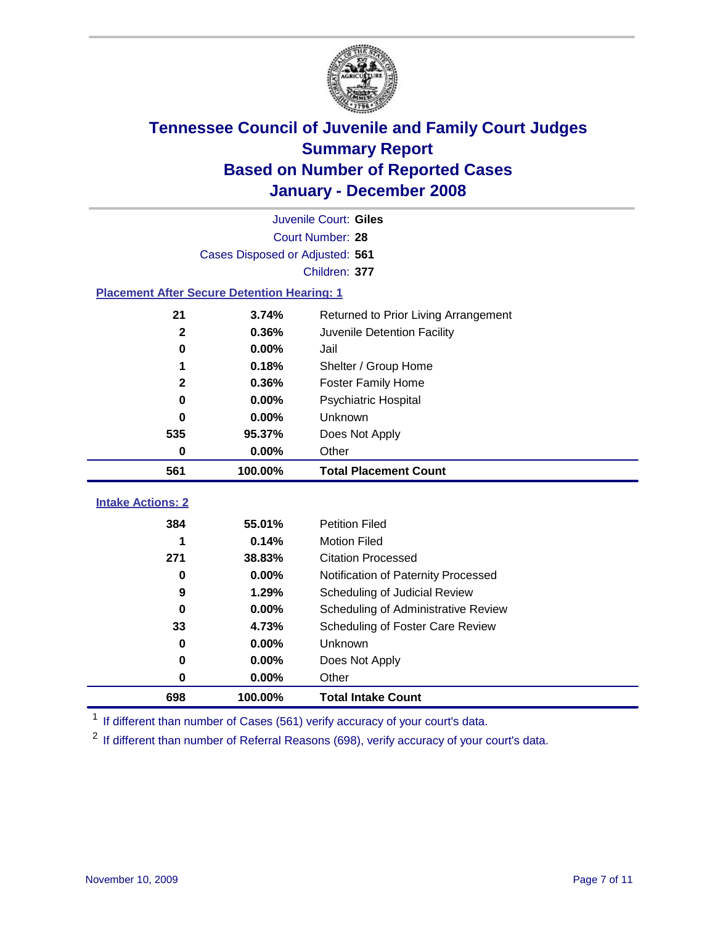

|                                                    | Juvenile Court: Giles           |                                      |  |  |  |
|----------------------------------------------------|---------------------------------|--------------------------------------|--|--|--|
|                                                    | Court Number: 28                |                                      |  |  |  |
|                                                    | Cases Disposed or Adjusted: 561 |                                      |  |  |  |
|                                                    |                                 | Children: 377                        |  |  |  |
| <b>Placement After Secure Detention Hearing: 1</b> |                                 |                                      |  |  |  |
| 21                                                 | 3.74%                           | Returned to Prior Living Arrangement |  |  |  |
| $\mathbf{2}$                                       | 0.36%                           | Juvenile Detention Facility          |  |  |  |
| 0                                                  | 0.00%                           | Jail                                 |  |  |  |
| 1                                                  | 0.18%                           | Shelter / Group Home                 |  |  |  |
| $\mathbf{2}$                                       | 0.36%                           | Foster Family Home                   |  |  |  |
| $\bf{0}$                                           | 0.00%                           | Psychiatric Hospital                 |  |  |  |
| 0                                                  | 0.00%                           | Unknown                              |  |  |  |
| 535                                                | 95.37%                          | Does Not Apply                       |  |  |  |
| 0                                                  | 0.00%                           | Other                                |  |  |  |
| 561                                                | 100.00%                         | <b>Total Placement Count</b>         |  |  |  |
| <b>Intake Actions: 2</b>                           |                                 |                                      |  |  |  |
|                                                    |                                 |                                      |  |  |  |
| 384                                                | 55.01%                          | <b>Petition Filed</b>                |  |  |  |
| 1                                                  | 0.14%                           | <b>Motion Filed</b>                  |  |  |  |
| 271                                                | 38.83%                          | <b>Citation Processed</b>            |  |  |  |
| 0                                                  | 0.00%                           | Notification of Paternity Processed  |  |  |  |
| 9                                                  | 1.29%                           | Scheduling of Judicial Review        |  |  |  |
| $\bf{0}$                                           | 0.00%                           | Scheduling of Administrative Review  |  |  |  |
| 33                                                 | 4.73%                           | Scheduling of Foster Care Review     |  |  |  |
| $\bf{0}$                                           | 0.00%                           | Unknown                              |  |  |  |
| 0                                                  | 0.00%                           | Does Not Apply                       |  |  |  |
| $\bf{0}$                                           | 0.00%                           | Other                                |  |  |  |
| 698                                                | 100.00%                         | <b>Total Intake Count</b>            |  |  |  |

<sup>1</sup> If different than number of Cases (561) verify accuracy of your court's data.

<sup>2</sup> If different than number of Referral Reasons (698), verify accuracy of your court's data.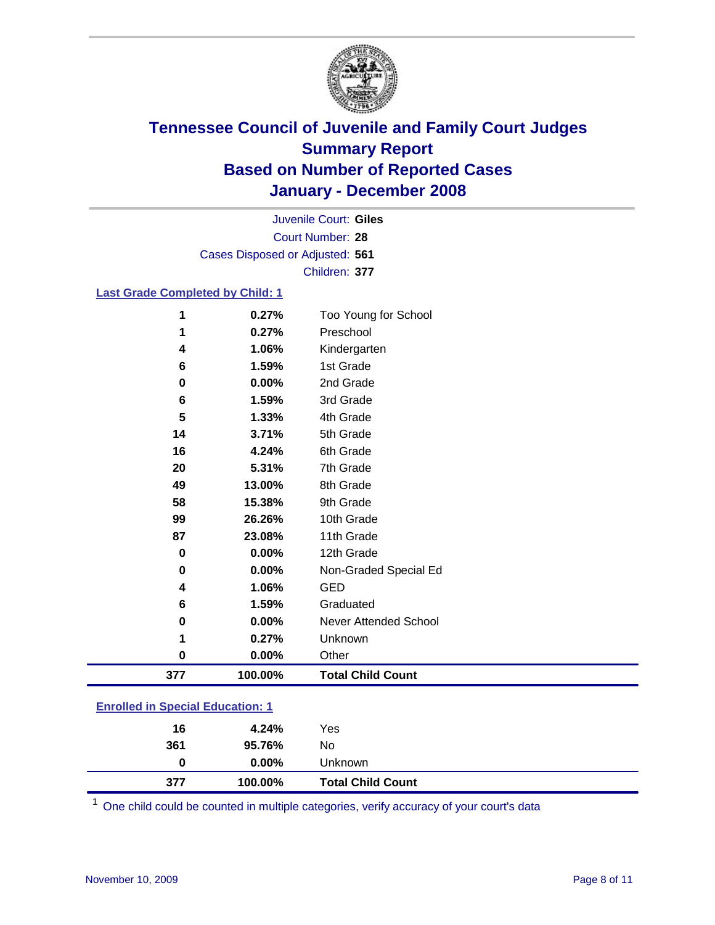

Court Number: **28** Juvenile Court: **Giles** Cases Disposed or Adjusted: **561** Children: **377**

#### **Last Grade Completed by Child: 1**

| 1        | 0.27%   | Too Young for School     |
|----------|---------|--------------------------|
|          | 0.27%   | Preschool                |
| 4        | 1.06%   | Kindergarten             |
| 6        | 1.59%   | 1st Grade                |
| 0        | 0.00%   | 2nd Grade                |
| 6        | 1.59%   | 3rd Grade                |
| 5        | 1.33%   | 4th Grade                |
| 14       | 3.71%   | 5th Grade                |
| 16       | 4.24%   | 6th Grade                |
| 20       | 5.31%   | 7th Grade                |
| 49       | 13.00%  | 8th Grade                |
| 58       | 15.38%  | 9th Grade                |
| 99       | 26.26%  | 10th Grade               |
| 87       | 23.08%  | 11th Grade               |
| $\bf{0}$ | 0.00%   | 12th Grade               |
| 0        | 0.00%   | Non-Graded Special Ed    |
| 4        | 1.06%   | <b>GED</b>               |
| 6        | 1.59%   | Graduated                |
| $\bf{0}$ | 0.00%   | Never Attended School    |
|          | 0.27%   | Unknown                  |
| 0        | 0.00%   | Other                    |
| 377      | 100.00% | <b>Total Child Count</b> |

### **Enrolled in Special Education: 1**

| 377 | 100.00%  | <b>Total Child Count</b> |  |
|-----|----------|--------------------------|--|
| 0   | $0.00\%$ | Unknown                  |  |
| 361 | 95.76%   | No                       |  |
| 16  | 4.24%    | Yes                      |  |
|     |          |                          |  |

<sup>1</sup> One child could be counted in multiple categories, verify accuracy of your court's data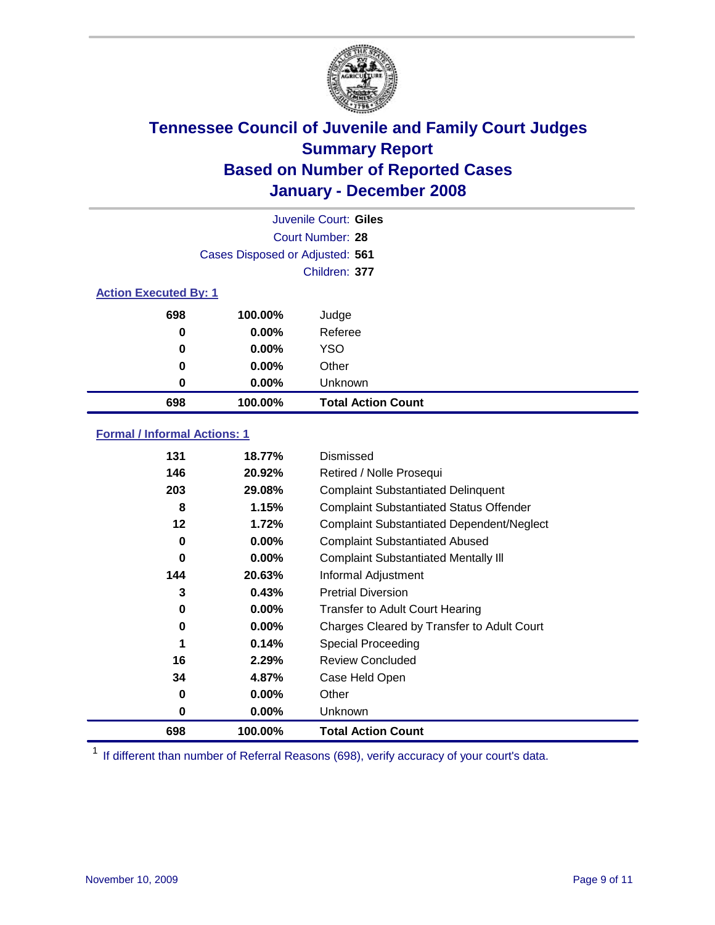

| Juvenile Court: Giles        |                                 |                           |  |  |  |
|------------------------------|---------------------------------|---------------------------|--|--|--|
|                              | Court Number: 28                |                           |  |  |  |
|                              | Cases Disposed or Adjusted: 561 |                           |  |  |  |
|                              |                                 | Children: 377             |  |  |  |
| <b>Action Executed By: 1</b> |                                 |                           |  |  |  |
| 698                          | 100.00%                         | Judge                     |  |  |  |
| 0                            | $0.00\%$                        | Referee                   |  |  |  |
| 0                            | $0.00\%$                        | <b>YSO</b>                |  |  |  |
| 0                            | $0.00\%$                        | Other                     |  |  |  |
| 0                            | $0.00\%$                        | Unknown                   |  |  |  |
| 698                          | 100.00%                         | <b>Total Action Count</b> |  |  |  |

### **Formal / Informal Actions: 1**

| 131 | 18.77%   | Dismissed                                        |
|-----|----------|--------------------------------------------------|
| 146 | 20.92%   | Retired / Nolle Prosequi                         |
| 203 | 29.08%   | <b>Complaint Substantiated Delinquent</b>        |
| 8   | 1.15%    | <b>Complaint Substantiated Status Offender</b>   |
| 12  | 1.72%    | <b>Complaint Substantiated Dependent/Neglect</b> |
| 0   | $0.00\%$ | <b>Complaint Substantiated Abused</b>            |
| 0   | $0.00\%$ | <b>Complaint Substantiated Mentally III</b>      |
| 144 | 20.63%   | Informal Adjustment                              |
| 3   | 0.43%    | <b>Pretrial Diversion</b>                        |
| 0   | $0.00\%$ | <b>Transfer to Adult Court Hearing</b>           |
| 0   | $0.00\%$ | Charges Cleared by Transfer to Adult Court       |
| 1   | 0.14%    | Special Proceeding                               |
| 16  | 2.29%    | <b>Review Concluded</b>                          |
| 34  | 4.87%    | Case Held Open                                   |
| 0   | $0.00\%$ | Other                                            |
| 0   | $0.00\%$ | <b>Unknown</b>                                   |
| 698 | 100.00%  | <b>Total Action Count</b>                        |

<sup>1</sup> If different than number of Referral Reasons (698), verify accuracy of your court's data.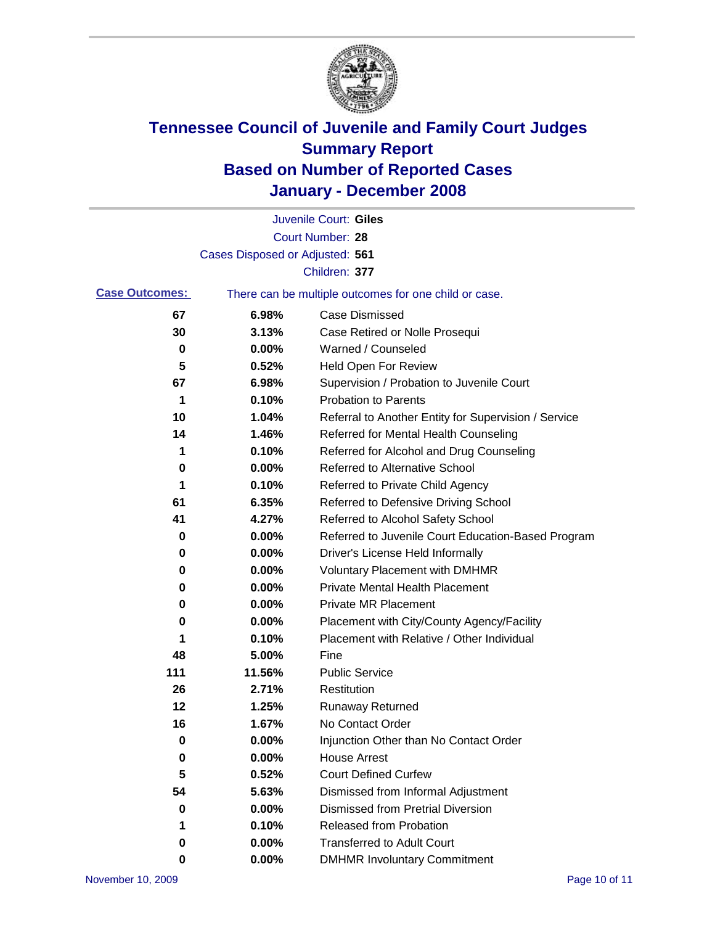

|                       |                                 | Juvenile Court: Giles                                 |
|-----------------------|---------------------------------|-------------------------------------------------------|
|                       |                                 | Court Number: 28                                      |
|                       | Cases Disposed or Adjusted: 561 |                                                       |
|                       |                                 | Children: 377                                         |
| <b>Case Outcomes:</b> |                                 | There can be multiple outcomes for one child or case. |
| 67                    | 6.98%                           | <b>Case Dismissed</b>                                 |
| 30                    | 3.13%                           | Case Retired or Nolle Prosequi                        |
| 0                     | 0.00%                           | Warned / Counseled                                    |
| 5                     | 0.52%                           | Held Open For Review                                  |
| 67                    | 6.98%                           | Supervision / Probation to Juvenile Court             |
| 1                     | 0.10%                           | <b>Probation to Parents</b>                           |
| 10                    | 1.04%                           | Referral to Another Entity for Supervision / Service  |
| 14                    | 1.46%                           | Referred for Mental Health Counseling                 |
| 1                     | 0.10%                           | Referred for Alcohol and Drug Counseling              |
| 0                     | 0.00%                           | <b>Referred to Alternative School</b>                 |
| 1                     | 0.10%                           | Referred to Private Child Agency                      |
| 61                    | 6.35%                           | Referred to Defensive Driving School                  |
| 41                    | 4.27%                           | Referred to Alcohol Safety School                     |
| 0                     | 0.00%                           | Referred to Juvenile Court Education-Based Program    |
| 0                     | 0.00%                           | Driver's License Held Informally                      |
| 0                     | 0.00%                           | <b>Voluntary Placement with DMHMR</b>                 |
| 0                     | 0.00%                           | <b>Private Mental Health Placement</b>                |
| 0                     | 0.00%                           | <b>Private MR Placement</b>                           |
| 0                     | 0.00%                           | Placement with City/County Agency/Facility            |
| 1                     | 0.10%                           | Placement with Relative / Other Individual            |
| 48                    | 5.00%                           | Fine                                                  |
| 111                   | 11.56%                          | <b>Public Service</b>                                 |
| 26                    | 2.71%                           | Restitution                                           |
| 12                    | 1.25%                           | <b>Runaway Returned</b>                               |
| 16                    | 1.67%                           | No Contact Order                                      |
| $\mathbf 0$           | 0.00%                           | Injunction Other than No Contact Order                |
| 0                     | 0.00%                           | <b>House Arrest</b>                                   |
| 5                     | 0.52%                           | <b>Court Defined Curfew</b>                           |
| 54                    | 5.63%                           | Dismissed from Informal Adjustment                    |
| 0                     | 0.00%                           | <b>Dismissed from Pretrial Diversion</b>              |
| 1                     | 0.10%                           | Released from Probation                               |
| 0                     | 0.00%                           | <b>Transferred to Adult Court</b>                     |
| 0                     | 0.00%                           | <b>DMHMR Involuntary Commitment</b>                   |